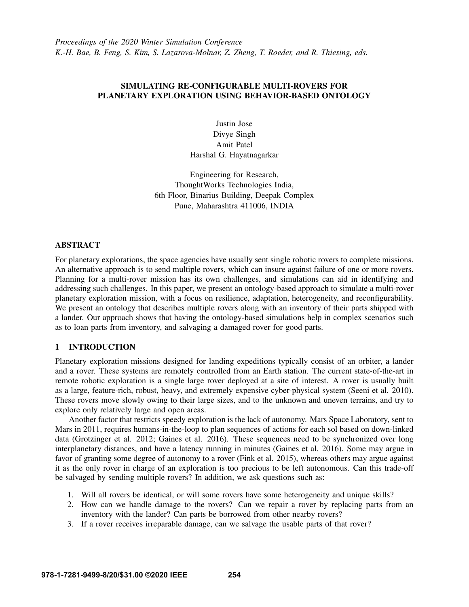## SIMULATING RE-CONFIGURABLE MULTI-ROVERS FOR PLANETARY EXPLORATION USING BEHAVIOR-BASED ONTOLOGY

Justin Jose Divye Singh Amit Patel Harshal G. Hayatnagarkar

Engineering for Research, ThoughtWorks Technologies India, 6th Floor, Binarius Building, Deepak Complex Pune, Maharashtra 411006, INDIA

### ABSTRACT

For planetary explorations, the space agencies have usually sent single robotic rovers to complete missions. An alternative approach is to send multiple rovers, which can insure against failure of one or more rovers. Planning for a multi-rover mission has its own challenges, and simulations can aid in identifying and addressing such challenges. In this paper, we present an ontology-based approach to simulate a multi-rover planetary exploration mission, with a focus on resilience, adaptation, heterogeneity, and reconfigurability. We present an ontology that describes multiple rovers along with an inventory of their parts shipped with a lander. Our approach shows that having the ontology-based simulations help in complex scenarios such as to loan parts from inventory, and salvaging a damaged rover for good parts.

## 1 INTRODUCTION

Planetary exploration missions designed for landing expeditions typically consist of an orbiter, a lander and a rover. These systems are remotely controlled from an Earth station. The current state-of-the-art in remote robotic exploration is a single large rover deployed at a site of interest. A rover is usually built as a large, feature-rich, robust, heavy, and extremely expensive cyber-physical system [\(Seeni et al. 2010\)](#page-11-0). These rovers move slowly owing to their large sizes, and to the unknown and uneven terrains, and try to explore only relatively large and open areas.

Another factor that restricts speedy exploration is the lack of autonomy. Mars Space Laboratory, sent to Mars in 2011, requires humans-in-the-loop to plan sequences of actions for each sol based on down-linked data [\(Grotzinger et al. 2012;](#page-10-0) [Gaines et al. 2016\)](#page-10-1). These sequences need to be synchronized over long interplanetary distances, and have a latency running in minutes [\(Gaines et al. 2016\)](#page-10-1). Some may argue in favor of granting some degree of autonomy to a rover [\(Fink et al. 2015\)](#page-10-2), whereas others may argue against it as the only rover in charge of an exploration is too precious to be left autonomous. Can this trade-off be salvaged by sending multiple rovers? In addition, we ask questions such as:

- 1. Will all rovers be identical, or will some rovers have some heterogeneity and unique skills?
- 2. How can we handle damage to the rovers? Can we repair a rover by replacing parts from an inventory with the lander? Can parts be borrowed from other nearby rovers?
- 3. If a rover receives irreparable damage, can we salvage the usable parts of that rover?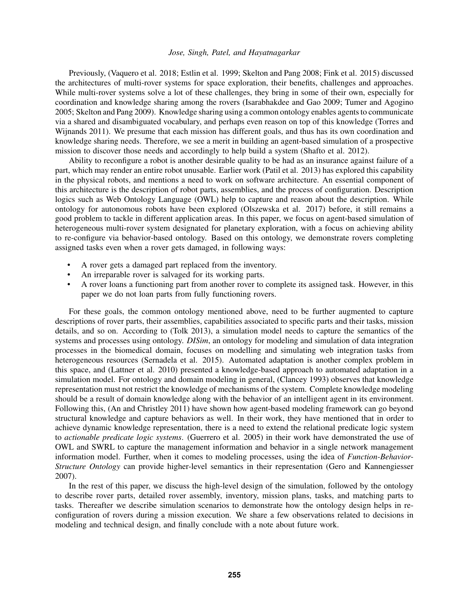Previously, [\(Vaquero et al. 2018;](#page-11-1) [Estlin et al. 1999;](#page-10-3) [Skelton and Pang 2008;](#page-11-2) [Fink et al. 2015\)](#page-10-2) discussed the architectures of multi-rover systems for space exploration, their benefits, challenges and approaches. While multi-rover systems solve a lot of these challenges, they bring in some of their own, especially for coordination and knowledge sharing among the rovers [\(Isarabhakdee and Gao 2009;](#page-10-4) [Tumer and Agogino](#page-11-3) [2005;](#page-11-3) [Skelton and Pang 2009\)](#page-11-4). Knowledge sharing using a common ontology enables agents to communicate via a shared and disambiguated vocabulary, and perhaps even reason on top of this knowledge [\(Torres and](#page-11-5) [Wijnands 2011\)](#page-11-5). We presume that each mission has different goals, and thus has its own coordination and knowledge sharing needs. Therefore, we see a merit in building an agent-based simulation of a prospective mission to discover those needs and accordingly to help build a system [\(Shafto et al. 2012\)](#page-11-6).

Ability to reconfigure a robot is another desirable quality to be had as an insurance against failure of a part, which may render an entire robot unusable. Earlier work [\(Patil et al. 2013\)](#page-10-5) has explored this capability in the physical robots, and mentions a need to work on software architecture. An essential component of this architecture is the description of robot parts, assemblies, and the process of configuration. Description logics such as Web Ontology Language (OWL) help to capture and reason about the description. While ontology for autonomous robots have been explored [\(Olszewska et al. 2017\)](#page-10-6) before, it still remains a good problem to tackle in different application areas. In this paper, we focus on agent-based simulation of heterogeneous multi-rover system designated for planetary exploration, with a focus on achieving ability to re-configure via behavior-based ontology. Based on this ontology, we demonstrate rovers completing assigned tasks even when a rover gets damaged, in following ways:

- A rover gets a damaged part replaced from the inventory.
- An irreparable rover is salvaged for its working parts.
- A rover loans a functioning part from another rover to complete its assigned task. However, in this paper we do not loan parts from fully functioning rovers.

For these goals, the common ontology mentioned above, need to be further augmented to capture descriptions of rover parts, their assemblies, capabilities associated to specific parts and their tasks, mission details, and so on. According to [\(Tolk 2013\)](#page-11-7), a simulation model needs to capture the semantics of the systems and processes using ontology. *DISim*, an ontology for modeling and simulation of data integration processes in the biomedical domain, focuses on modelling and simulating web integration tasks from heterogeneous resources [\(Sernadela et al. 2015\)](#page-11-8). Automated adaptation is another complex problem in this space, and [\(Lattner et al. 2010\)](#page-10-7) presented a knowledge-based approach to automated adaptation in a simulation model. For ontology and domain modeling in general, [\(Clancey 1993\)](#page-10-8) observes that knowledge representation must not restrict the knowledge of mechanisms of the system. Complete knowledge modeling should be a result of domain knowledge along with the behavior of an intelligent agent in its environment. Following this, [\(An and Christley 2011\)](#page-10-9) have shown how agent-based modeling framework can go beyond structural knowledge and capture behaviors as well. In their work, they have mentioned that in order to achieve dynamic knowledge representation, there is a need to extend the relational predicate logic system to *actionable predicate logic systems*. [\(Guerrero et al. 2005\)](#page-10-10) in their work have demonstrated the use of OWL and SWRL to capture the management information and behavior in a single network management information model. Further, when it comes to modeling processes, using the idea of *Function-Behavior-Structure Ontology* can provide higher-level semantics in their representation [\(Gero and Kannengiesser](#page-10-11) [2007\)](#page-10-11).

In the rest of this paper, we discuss the high-level design of the simulation, followed by the ontology to describe rover parts, detailed rover assembly, inventory, mission plans, tasks, and matching parts to tasks. Thereafter we describe simulation scenarios to demonstrate how the ontology design helps in reconfiguration of rovers during a mission execution. We share a few observations related to decisions in modeling and technical design, and finally conclude with a note about future work.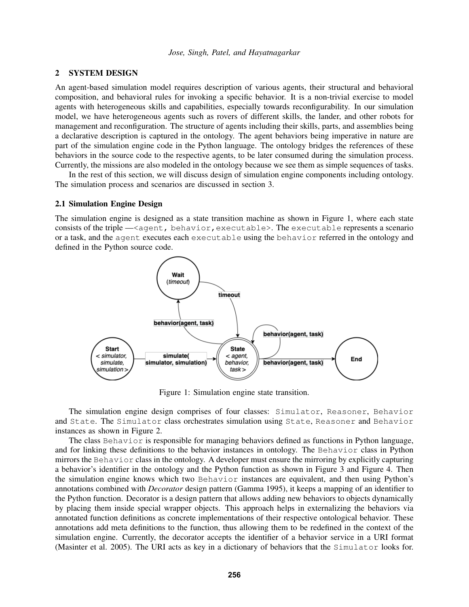### 2 SYSTEM DESIGN

An agent-based simulation model requires description of various agents, their structural and behavioral composition, and behavioral rules for invoking a specific behavior. It is a non-trivial exercise to model agents with heterogeneous skills and capabilities, especially towards reconfigurability. In our simulation model, we have heterogeneous agents such as rovers of different skills, the lander, and other robots for management and reconfiguration. The structure of agents including their skills, parts, and assemblies being a declarative description is captured in the ontology. The agent behaviors being imperative in nature are part of the simulation engine code in the Python language. The ontology bridges the references of these behaviors in the source code to the respective agents, to be later consumed during the simulation process. Currently, the missions are also modeled in the ontology because we see them as simple sequences of tasks.

In the rest of this section, we will discuss design of simulation engine components including ontology. The simulation process and scenarios are discussed in section [3.](#page-6-0)

#### <span id="page-2-1"></span>2.1 Simulation Engine Design

The simulation engine is designed as a state transition machine as shown in Figure [1,](#page-2-0) where each state consists of the triple —<agent, behavior, executable>. The executable represents a scenario or a task, and the agent executes each executable using the behavior referred in the ontology and defined in the Python source code.



<span id="page-2-0"></span>Figure 1: Simulation engine state transition.

The simulation engine design comprises of four classes: Simulator, Reasoner, Behavior and State. The Simulator class orchestrates simulation using State, Reasoner and Behavior instances as shown in Figure [2.](#page-3-0)

The class Behavior is responsible for managing behaviors defined as functions in Python language, and for linking these definitions to the behavior instances in ontology. The Behavior class in Python mirrors the Behavior class in the ontology. A developer must ensure the mirroring by explicitly capturing a behavior's identifier in the ontology and the Python function as shown in Figure [3](#page-4-0) and Figure [4.](#page-4-1) Then the simulation engine knows which two Behavior instances are equivalent, and then using Python's annotations combined with *Decorator* design pattern [\(Gamma 1995\)](#page-10-12), it keeps a mapping of an identifier to the Python function. Decorator is a design pattern that allows adding new behaviors to objects dynamically by placing them inside special wrapper objects. This approach helps in externalizing the behaviors via annotated function definitions as concrete implementations of their respective ontological behavior. These annotations add meta definitions to the function, thus allowing them to be redefined in the context of the simulation engine. Currently, the decorator accepts the identifier of a behavior service in a URI format [\(Masinter et al. 2005\)](#page-10-13). The URI acts as key in a dictionary of behaviors that the Simulator looks for.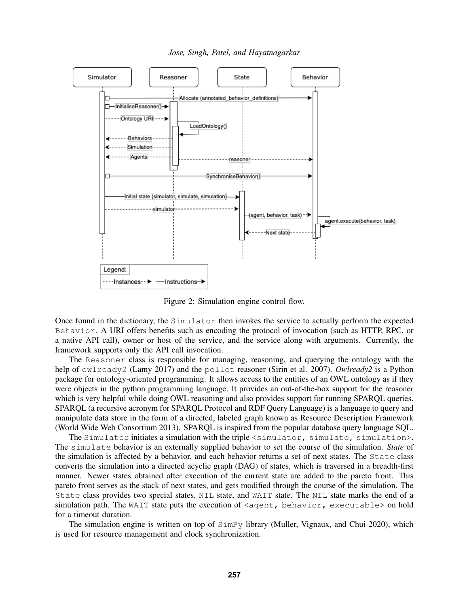

*Jose, Singh, Patel, and Hayatnagarkar*

<span id="page-3-0"></span>Figure 2: Simulation engine control flow.

Once found in the dictionary, the Simulator then invokes the service to actually perform the expected Behavior. A URI offers benefits such as encoding the protocol of invocation (such as HTTP, RPC, or a native API call), owner or host of the service, and the service along with arguments. Currently, the framework supports only the API call invocation.

The Reasoner class is responsible for managing, reasoning, and querying the ontology with the help of owlready2 [\(Lamy 2017\)](#page-10-14) and the pellet reasoner [\(Sirin et al. 2007\)](#page-11-9). *Owlready2* is a Python package for ontology-oriented programming. It allows access to the entities of an OWL ontology as if they were objects in the python programming language. It provides an out-of-the-box support for the reasoner which is very helpful while doing OWL reasoning and also provides support for running SPARQL queries. SPARQL (a recursive acronym for SPARQL Protocol and RDF Query Language) is a language to query and manipulate data store in the form of a directed, labeled graph known as Resource Description Framework [\(World Wide Web Consortium 2013\)](#page-11-10). SPARQL is inspired from the popular database query language SQL.

The Simulator initiates a simulation with the triple <simulator, simulate, simulation>. The simulate behavior is an externally supplied behavior to set the course of the simulation. *State* of the simulation is affected by a behavior, and each behavior returns a set of next states. The State class converts the simulation into a directed acyclic graph (DAG) of states, which is traversed in a breadth-first manner. Newer states obtained after execution of the current state are added to the pareto front. This pareto front serves as the stack of next states, and gets modified through the course of the simulation. The State class provides two special states, NIL state, and WAIT state. The NIL state marks the end of a simulation path. The WAIT state puts the execution of  $\langle$  agent, behavior, executable> on hold for a timeout duration.

The simulation engine is written on top of SimPy library [\(Muller, Vignaux, and Chui 2020\)](#page-10-15), which is used for resource management and clock synchronization.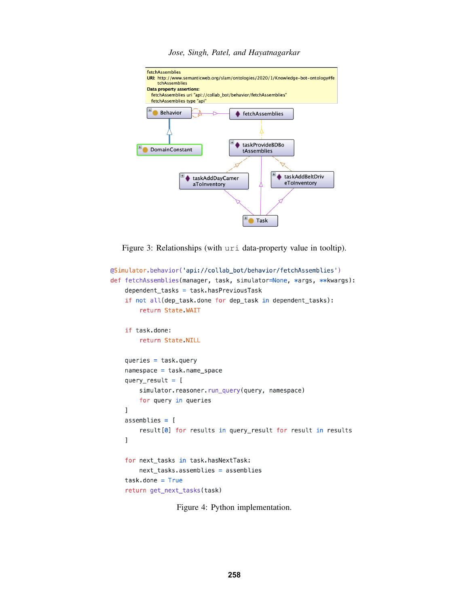

<span id="page-4-0"></span>Figure 3: Relationships (with uri data-property value in tooltip).

```
@Simulator.behavior('api://collab_bot/behavior/fetchAssemblies')
def fetchAssemblies(manager, task, simulator=None, *args, **kwargs):
    dependent_tasks = task.hasPreviousTask
    if not all(dep_task.done for dep_task in dependent_tasks):
        return State WAIT
    if task.done:
        return State NILL
    queries = task.querynamespace = task.name_spacequery_result = [simulator.reasoner.run_query(query, namespace)
        for query in queries
    \mathbf{I}assemblies = [result[0] for results in query_result for result in results
    \mathbf{I}for next_tasks in task.hasNextTask:
        next_tasks.assemblies = assemblies
    task.done = Truereturn get_next_tasks(task)
```
<span id="page-4-1"></span>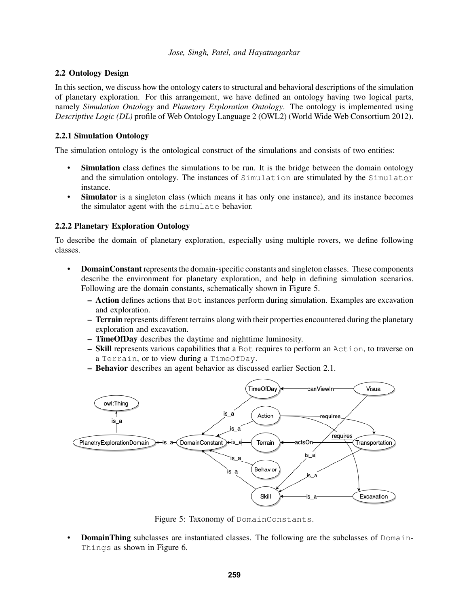## 2.2 Ontology Design

In this section, we discuss how the ontology caters to structural and behavioral descriptions of the simulation of planetary exploration. For this arrangement, we have defined an ontology having two logical parts, namely *Simulation Ontology* and *Planetary Exploration Ontology*. The ontology is implemented using *Descriptive Logic (DL)* profile of Web Ontology Language 2 (OWL2) [\(World Wide Web Consortium 2012\)](#page-11-11).

### 2.2.1 Simulation Ontology

The simulation ontology is the ontological construct of the simulations and consists of two entities:

- **Simulation** class defines the simulations to be run. It is the bridge between the domain ontology and the simulation ontology. The instances of Simulation are stimulated by the Simulator instance.
- **Simulator** is a singleton class (which means it has only one instance), and its instance becomes the simulator agent with the simulate behavior.

## 2.2.2 Planetary Exploration Ontology

To describe the domain of planetary exploration, especially using multiple rovers, we define following classes.

- DomainConstant represents the domain-specific constants and singleton classes. These components describe the environment for planetary exploration, and help in defining simulation scenarios. Following are the domain constants, schematically shown in Figure [5.](#page-5-0)
	- $-$  Action defines actions that  $Bot$  instances perform during simulation. Examples are excavation and exploration.
	- Terrain represents different terrains along with their properties encountered during the planetary exploration and excavation.
	- TimeOfDay describes the daytime and nighttime luminosity.
	- Skill represents various capabilities that a Bot requires to perform an Action, to traverse on a Terrain, or to view during a TimeOfDay.
	- Behavior describes an agent behavior as discussed earlier Section [2.1.](#page-2-1)



<span id="page-5-0"></span>Figure 5: Taxonomy of DomainConstants.

**DomainThing** subclasses are instantiated classes. The following are the subclasses of Domain-Things as shown in Figure [6.](#page-7-0)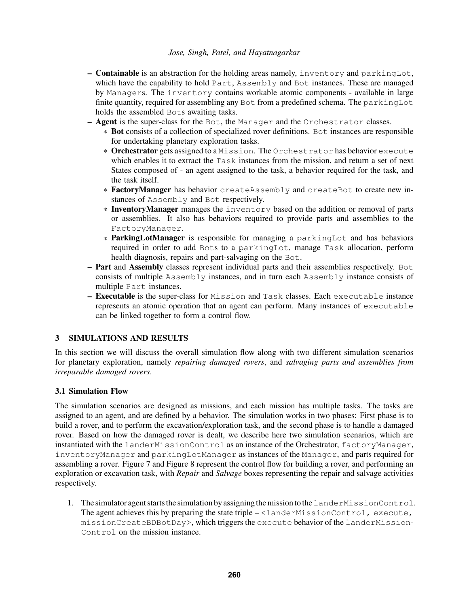- **Containable** is an abstraction for the holding areas namely, inventory and parking Lot, which have the capability to hold Part, Assembly and Bot instances. These are managed by Managers. The inventory contains workable atomic components - available in large finite quantity, required for assembling any Bot from a predefined schema. The parkingLot holds the assembled Bots awaiting tasks.
- Agent is the super-class for the Bot, the Manager and the Orchestrator classes.
	- \* Bot consists of a collection of specialized rover definitions. Bot instances are responsible for undertaking planetary exploration tasks.
	- \* Orchestrator gets assigned to a Mission. The Orchestrator has behavior execute which enables it to extract the Task instances from the mission, and return a set of next States composed of - an agent assigned to the task, a behavior required for the task, and the task itself.
	- \* FactoryManager has behavior createAssembly and createBot to create new instances of Assembly and Bot respectively.
	- \* InventoryManager manages the inventory based on the addition or removal of parts or assemblies. It also has behaviors required to provide parts and assemblies to the FactoryManager.
	- \* ParkingLotManager is responsible for managing a parkingLot and has behaviors required in order to add Bots to a parkingLot, manage Task allocation, perform health diagnosis, repairs and part-salvaging on the Bot.
- Part and Assembly classes represent individual parts and their assemblies respectively. Bot consists of multiple Assembly instances, and in turn each Assembly instance consists of multiple Part instances.
- Executable is the super-class for Mission and Task classes. Each executable instance represents an atomic operation that an agent can perform. Many instances of executable can be linked together to form a control flow.

## <span id="page-6-0"></span>3 SIMULATIONS AND RESULTS

In this section we will discuss the overall simulation flow along with two different simulation scenarios for planetary exploration, namely *repairing damaged rovers*, and *salvaging parts and assemblies from irreparable damaged rovers*.

## 3.1 Simulation Flow

The simulation scenarios are designed as missions, and each mission has multiple tasks. The tasks are assigned to an agent, and are defined by a behavior. The simulation works in two phases: First phase is to build a rover, and to perform the excavation/exploration task, and the second phase is to handle a damaged rover. Based on how the damaged rover is dealt, we describe here two simulation scenarios, which are instantiated with the landerMissionControl as an instance of the Orchestrator, factoryManager, inventoryManager and parkingLotManager as instances of the Manager, and parts required for assembling a rover. Figure [7](#page-8-0) and Figure [8](#page-9-0) represent the control flow for building a rover, and performing an exploration or excavation task, with *Repair* and *Salvage* boxes representing the repair and salvage activities respectively.

1. The simulator agent starts the simulation by assigning the mission to the landerMissionControl. The agent achieves this by preparing the state triple  $-\leq 1$  and erMissionControl, execute, missionCreateBDBotDay>, which triggers the execute behavior of the landerMission-Control on the mission instance.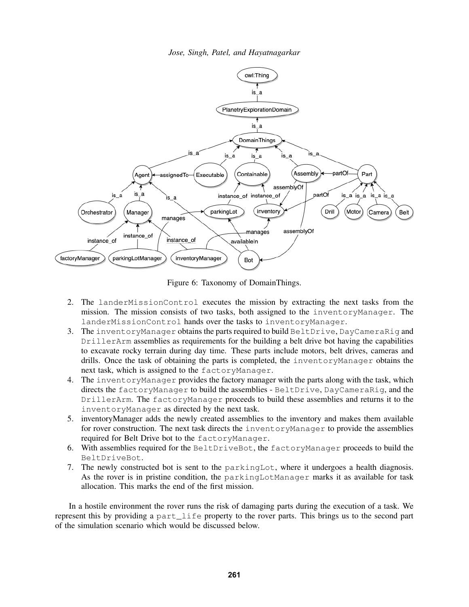

<span id="page-7-0"></span>Figure 6: Taxonomy of DomainThings.

- 2. The landerMissionControl executes the mission by extracting the next tasks from the mission. The mission consists of two tasks, both assigned to the inventoryManager. The landerMissionControl hands over the tasks to inventoryManager.
- 3. The inventoryManager obtains the parts required to build BeltDrive, DayCameraRig and DrillerArm assemblies as requirements for the building a belt drive bot having the capabilities to excavate rocky terrain during day time. These parts include motors, belt drives, cameras and drills. Once the task of obtaining the parts is completed, the inventoryManager obtains the next task, which is assigned to the factoryManager.
- 4. The inventoryManager provides the factory manager with the parts along with the task, which directs the factoryManager to build the assemblies - BeltDrive, DayCameraRig, and the DrillerArm. The factoryManager proceeds to build these assemblies and returns it to the inventoryManager as directed by the next task.
- 5. inventoryManager adds the newly created assemblies to the inventory and makes them available for rover construction. The next task directs the inventoryManager to provide the assemblies required for Belt Drive bot to the factoryManager.
- 6. With assemblies required for the BeltDriveBot, the factoryManager proceeds to build the BeltDriveBot.
- 7. The newly constructed bot is sent to the parkingLot, where it undergoes a health diagnosis. As the rover is in pristine condition, the parkingLotManager marks it as available for task allocation. This marks the end of the first mission.

In a hostile environment the rover runs the risk of damaging parts during the execution of a task. We represent this by providing a part\_life property to the rover parts. This brings us to the second part of the simulation scenario which would be discussed below.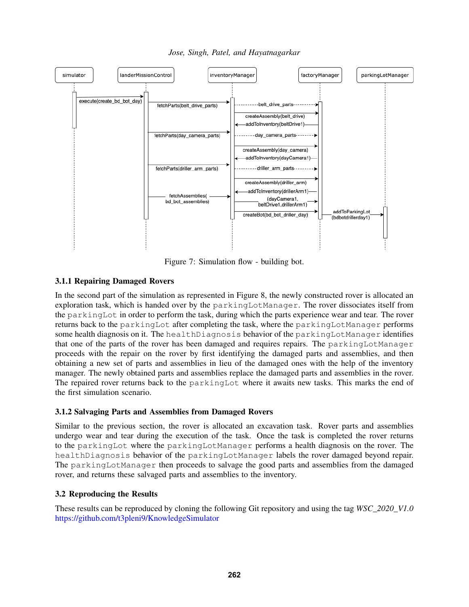*Jose, Singh, Patel, and Hayatnagarkar*



<span id="page-8-0"></span>Figure 7: Simulation flow - building bot.

# 3.1.1 Repairing Damaged Rovers

In the second part of the simulation as represented in Figure [8,](#page-9-0) the newly constructed rover is allocated an exploration task, which is handed over by the parkingLotManager. The rover dissociates itself from the parkingLot in order to perform the task, during which the parts experience wear and tear. The rover returns back to the parkingLot after completing the task, where the parkingLotManager performs some health diagnosis on it. The healthDiagnosis behavior of the parkingLotManager identifies that one of the parts of the rover has been damaged and requires repairs. The parkingLotManager proceeds with the repair on the rover by first identifying the damaged parts and assemblies, and then obtaining a new set of parts and assemblies in lieu of the damaged ones with the help of the inventory manager. The newly obtained parts and assemblies replace the damaged parts and assemblies in the rover. The repaired rover returns back to the parkingLot where it awaits new tasks. This marks the end of the first simulation scenario.

## 3.1.2 Salvaging Parts and Assemblies from Damaged Rovers

Similar to the previous section, the rover is allocated an excavation task. Rover parts and assemblies undergo wear and tear during the execution of the task. Once the task is completed the rover returns to the parkingLot where the parkingLotManager performs a health diagnosis on the rover. The healthDiagnosis behavior of the parkingLotManager labels the rover damaged beyond repair. The parkingLotManager then proceeds to salvage the good parts and assemblies from the damaged rover, and returns these salvaged parts and assemblies to the inventory.

# 3.2 Reproducing the Results

These results can be reproduced by cloning the following Git repository and using the tag *WSC\_2020\_V1.0* <https://github.com/t3pleni9/KnowledgeSimulator>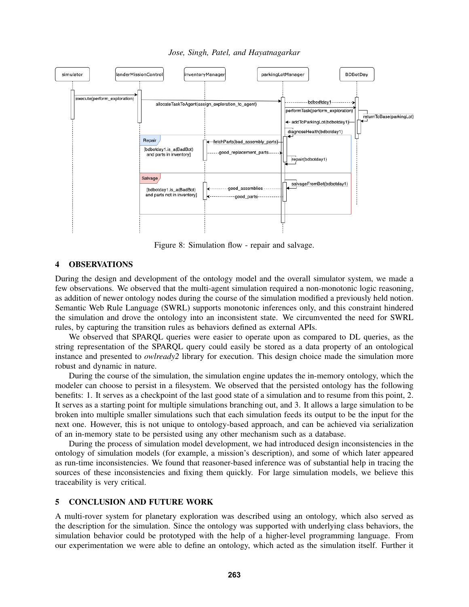*Jose, Singh, Patel, and Hayatnagarkar*



<span id="page-9-0"></span>Figure 8: Simulation flow - repair and salvage.

### 4 OBSERVATIONS

During the design and development of the ontology model and the overall simulator system, we made a few observations. We observed that the multi-agent simulation required a non-monotonic logic reasoning, as addition of newer ontology nodes during the course of the simulation modified a previously held notion. Semantic Web Rule Language (SWRL) supports monotonic inferences only, and this constraint hindered the simulation and drove the ontology into an inconsistent state. We circumvented the need for SWRL rules, by capturing the transition rules as behaviors defined as external APIs.

We observed that SPARQL queries were easier to operate upon as compared to DL queries, as the string representation of the SPARQL query could easily be stored as a data property of an ontological instance and presented to *owlready2* library for execution. This design choice made the simulation more robust and dynamic in nature.

During the course of the simulation, the simulation engine updates the in-memory ontology, which the modeler can choose to persist in a filesystem. We observed that the persisted ontology has the following benefits: 1. It serves as a checkpoint of the last good state of a simulation and to resume from this point, 2. It serves as a starting point for multiple simulations branching out, and 3. It allows a large simulation to be broken into multiple smaller simulations such that each simulation feeds its output to be the input for the next one. However, this is not unique to ontology-based approach, and can be achieved via serialization of an in-memory state to be persisted using any other mechanism such as a database.

During the process of simulation model development, we had introduced design inconsistencies in the ontology of simulation models (for example, a mission's description), and some of which later appeared as run-time inconsistencies. We found that reasoner-based inference was of substantial help in tracing the sources of these inconsistencies and fixing them quickly. For large simulation models, we believe this traceability is very critical.

### 5 CONCLUSION AND FUTURE WORK

A multi-rover system for planetary exploration was described using an ontology, which also served as the description for the simulation. Since the ontology was supported with underlying class behaviors, the simulation behavior could be prototyped with the help of a higher-level programming language. From our experimentation we were able to define an ontology, which acted as the simulation itself. Further it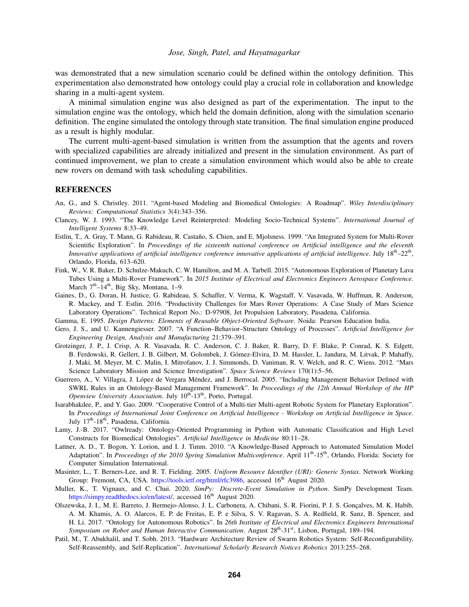was demonstrated that a new simulation scenario could be defined within the ontology definition. This experimentation also demonstrated how ontology could play a crucial role in collaboration and knowledge sharing in a multi-agent system.

A minimal simulation engine was also designed as part of the experimentation. The input to the simulation engine was the ontology, which held the domain definition, along with the simulation scenario definition. The engine simulated the ontology through state transition. The final simulation engine produced as a result is highly modular.

The current multi-agent-based simulation is written from the assumption that the agents and rovers with specialized capabilities are already initialized and present in the simulation environment. As part of continued improvement, we plan to create a simulation environment which would also be able to create new rovers on demand with task scheduling capabilities.

#### REFERENCES

- <span id="page-10-9"></span>An, G., and S. Christley. 2011. "Agent-based Modeling and Biomedical Ontologies: A Roadmap". *Wiley Interdisciplinary Reviews: Computational Statistics* 3(4):343–356.
- <span id="page-10-8"></span>Clancey, W. J. 1993. "The Knowledge Level Reinterpreted: Modeling Socio-Technical Systems". *International Journal of Intelligent Systems* 8:33–49.
- <span id="page-10-3"></span>Estlin, T., A. Gray, T. Mann, G. Rabideau, R. Castaño, S. Chien, and E. Mjolsness. 1999. "An Integrated System for Multi-Rover Scientific Exploration". In *Proceedings of the sixteenth national conference on Artificial intelligence and the eleventh* Innovative applications of artificial intelligence conference innovative applications of artificial intelligence. July  $18<sup>th</sup>–22<sup>th</sup>$ , Orlando, Florida, 613–620.
- <span id="page-10-2"></span>Fink, W., V. R. Baker, D. Schulze-Makuch, C. W. Hamilton, and M. A. Tarbell. 2015. "Autonomous Exploration of Planetary Lava Tubes Using a Multi-Rover Framework". In *2015 Institute of Electrical and Electronics Engineers Aerospace Conference*. March  $7<sup>th</sup> - 14<sup>th</sup>$ , Big Sky, Montana, 1–9.
- <span id="page-10-1"></span>Gaines, D., G. Doran, H. Justice, G. Rabideau, S. Schaffer, V. Verma, K. Wagstaff, V. Vasavada, W. Huffman, R. Anderson, R. Mackey, and T. Estlin. 2016. "Productivity Challenges for Mars Rover Operations: A Case Study of Mars Science Laboratory Operations". Technical Report No.: D-97908, Jet Propulsion Laboratory, Pasadena, California.
- <span id="page-10-12"></span>Gamma, E. 1995. *Design Patterns: Elements of Reusable Object-Oriented Software*. Noida: Pearson Education India.
- <span id="page-10-11"></span>Gero, J. S., and U. Kannengiesser. 2007. "A Function–Behavior–Structure Ontology of Processes". *Artificial Intelligence for Engineering Design, Analysis and Manufacturing* 21:379–391.
- <span id="page-10-0"></span>Grotzinger, J. P., J. Crisp, A. R. Vasavada, R. C. Anderson, C. J. Baker, R. Barry, D. F. Blake, P. Conrad, K. S. Edgett, B. Ferdowski, R. Gellert, J. B. Gilbert, M. Golombek, J. Gómez-Elvira, D. M. Hassler, L. Jandura, M. Litvak, P. Mahaffy, J. Maki, M. Meyer, M. C. Malin, I. Mitrofanov, J. J. Simmonds, D. Vaniman, R. V. Welch, and R. C. Wiens. 2012. "Mars Science Laboratory Mission and Science Investigation". *Space Science Reviews* 170(1):5–56.
- <span id="page-10-10"></span>Guerrero, A., V. Villagra, J. López de Vergara Méndez, and J. Berrocal. 2005. "Including Management Behavior Defined with SWRL Rules in an Ontology-Based Management Framework". In *Proceedings of the 12th Annual Workshop of the HP Openview University Association*. July 10<sup>th</sup>-13<sup>th</sup>, Porto, Portugal.
- <span id="page-10-4"></span>Isarabhakdee, P., and Y. Gao. 2009. "Cooperative Control of a Multi-tier Multi-agent Robotic System for Planetary Exploration". In *Proceedings of International Joint Conference on Artificial Intelligence - Workshop on Artificial Intelligence in Space*. July 17<sup>th</sup>-18<sup>th</sup>, Pasadena, California.
- <span id="page-10-14"></span>Lamy, J.-B. 2017. "Owlready: Ontology-Oriented Programming in Python with Automatic Classification and High Level Constructs for Biomedical Ontologies". *Artificial Intelligence in Medicine* 80:11–28.
- <span id="page-10-7"></span>Lattner, A. D., T. Bogon, Y. Lorion, and I. J. Timm. 2010. "A Knowledge-Based Approach to Automated Simulation Model Adaptation". In *Proceedings of the 2010 Spring Simulation Multiconference*. April 11<sup>th</sup>-15<sup>th</sup>, Orlando, Florida: Society for Computer Simulation International.
- <span id="page-10-13"></span>Masinter, L., T. Berners-Lee, and R. T. Fielding. 2005. *Uniform Resource Identifier (URI): Generic Syntax*. Network Working Group: Fremont, CA, USA. [https://tools.ietf.org/html/rfc3986,](https://tools.ietf.org/html/rfc3986) accessed 16<sup>th</sup> August 2020.
- <span id="page-10-15"></span>Muller, K., T. Vignaux, and C. Chui. 2020. *SimPy: Discrete-Event Simulation in Python*. SimPy Development Team. [https://simpy.readthedocs.io/en/latest/,](https://simpy.readthedocs.io/en/latest/) accessed 16<sup>th</sup> August 2020.
- <span id="page-10-6"></span>Olszewska, J. I., M. E. Barreto, J. Bermejo-Alonso, J. L. Carbonera, A. Chibani, S. R. Fiorini, P. J. S. Gonçalves, M. K. Habib, A. M. Khamis, A. O. Alarcos, E. P. de Freitas, E. P. e Silva, S. V. Ragavan, S. A. Redfield, R. Sanz, B. Spencer, and H. Li. 2017. "Ontology for Autonomous Robotics". In *26th Institute of Electrical and Electronics Engineers International* Symposium on Robot and Human Interactive Communication. August 28<sup>th</sup>-31<sup>st</sup>, Lisbon, Portugal, 189–194.
- <span id="page-10-5"></span>Patil, M., T. Abukhalil, and T. Sobh. 2013. "Hardware Architecture Review of Swarm Robotics System: Self-Reconfigurability, Self-Reassembly, and Self-Replication". *International Scholarly Research Notices Robotics* 2013:255–268.